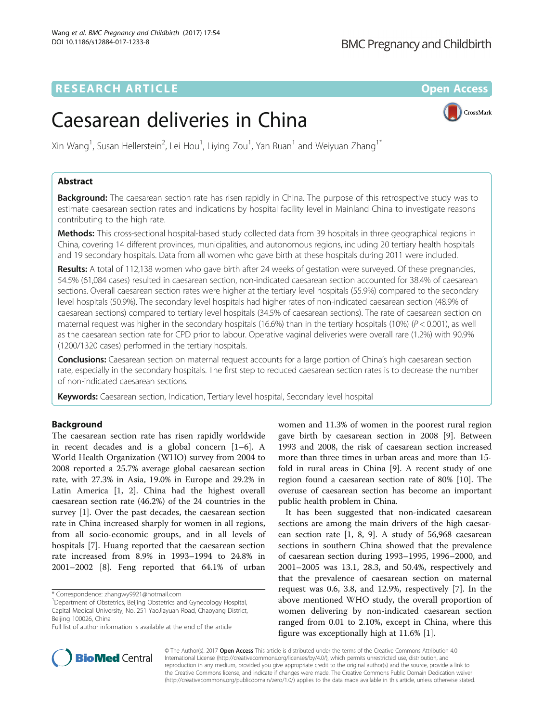## **RESEARCH ARTICLE Example 2018 12:00 Department of the Contract Open Access**

CrossMark

# Caesarean deliveries in China

Xin Wang<sup>1</sup>, Susan Hellerstein<sup>2</sup>, Lei Hou<sup>1</sup>, Liying Zou<sup>1</sup>, Yan Ruan<sup>1</sup> and Weiyuan Zhang<sup>1\*</sup>

## Abstract

Background: The caesarean section rate has risen rapidly in China. The purpose of this retrospective study was to estimate caesarean section rates and indications by hospital facility level in Mainland China to investigate reasons contributing to the high rate.

Methods: This cross-sectional hospital-based study collected data from 39 hospitals in three geographical regions in China, covering 14 different provinces, municipalities, and autonomous regions, including 20 tertiary health hospitals and 19 secondary hospitals. Data from all women who gave birth at these hospitals during 2011 were included.

Results: A total of 112,138 women who gave birth after 24 weeks of gestation were surveyed. Of these pregnancies, 54.5% (61,084 cases) resulted in caesarean section, non-indicated caesarean section accounted for 38.4% of caesarean sections. Overall caesarean section rates were higher at the tertiary level hospitals (55.9%) compared to the secondary level hospitals (50.9%). The secondary level hospitals had higher rates of non-indicated caesarean section (48.9% of caesarean sections) compared to tertiary level hospitals (34.5% of caesarean sections). The rate of caesarean section on maternal request was higher in the secondary hospitals (16.6%) than in the tertiary hospitals (10%) ( $P < 0.001$ ), as well as the caesarean section rate for CPD prior to labour. Operative vaginal deliveries were overall rare (1.2%) with 90.9% (1200/1320 cases) performed in the tertiary hospitals.

**Conclusions:** Caesarean section on maternal request accounts for a large portion of China's high caesarean section rate, especially in the secondary hospitals. The first step to reduced caesarean section rates is to decrease the number of non-indicated caesarean sections.

Keywords: Caesarean section, Indication, Tertiary level hospital, Secondary level hospital

## Background

The caesarean section rate has risen rapidly worldwide in recent decades and is a global concern [\[1](#page-8-0)–[6](#page-8-0)]. A World Health Organization (WHO) survey from 2004 to 2008 reported a 25.7% average global caesarean section rate, with 27.3% in Asia, 19.0% in Europe and 29.2% in Latin America [[1, 2\]](#page-8-0). China had the highest overall caesarean section rate (46.2%) of the 24 countries in the survey [[1\]](#page-8-0). Over the past decades, the caesarean section rate in China increased sharply for women in all regions, from all socio-economic groups, and in all levels of hospitals [\[7](#page-8-0)]. Huang reported that the caesarean section rate increased from 8.9% in 1993–1994 to 24.8% in 2001–2002 [\[8\]](#page-8-0). Feng reported that 64.1% of urban

\* Correspondence: [zhangwy9921@hotmail.com](mailto:zhangwy9921@hotmail.com) <sup>1</sup>



It has been suggested that non-indicated caesarean sections are among the main drivers of the high caesarean section rate [\[1, 8, 9](#page-8-0)]. A study of 56,968 caesarean sections in southern China showed that the prevalence of caesarean section during 1993–1995, 1996–2000, and 2001–2005 was 13.1, 28.3, and 50.4%, respectively and that the prevalence of caesarean section on maternal request was 0.6, 3.8, and 12.9%, respectively [[7](#page-8-0)]. In the above mentioned WHO study, the overall proportion of women delivering by non-indicated caesarean section ranged from 0.01 to 2.10%, except in China, where this figure was exceptionally high at 11.6% [[1\]](#page-8-0).



© The Author(s). 2017 **Open Access** This article is distributed under the terms of the Creative Commons Attribution 4.0 International License [\(http://creativecommons.org/licenses/by/4.0/](http://creativecommons.org/licenses/by/4.0/)), which permits unrestricted use, distribution, and reproduction in any medium, provided you give appropriate credit to the original author(s) and the source, provide a link to the Creative Commons license, and indicate if changes were made. The Creative Commons Public Domain Dedication waiver [\(http://creativecommons.org/publicdomain/zero/1.0/](http://creativecommons.org/publicdomain/zero/1.0/)) applies to the data made available in this article, unless otherwise stated.

<sup>&</sup>lt;sup>1</sup>Department of Obstetrics, Beijing Obstetrics and Gynecology Hospital, Capital Medical University, No. 251 YaoJiayuan Road, Chaoyang District, Beijing 100026, China

Full list of author information is available at the end of the article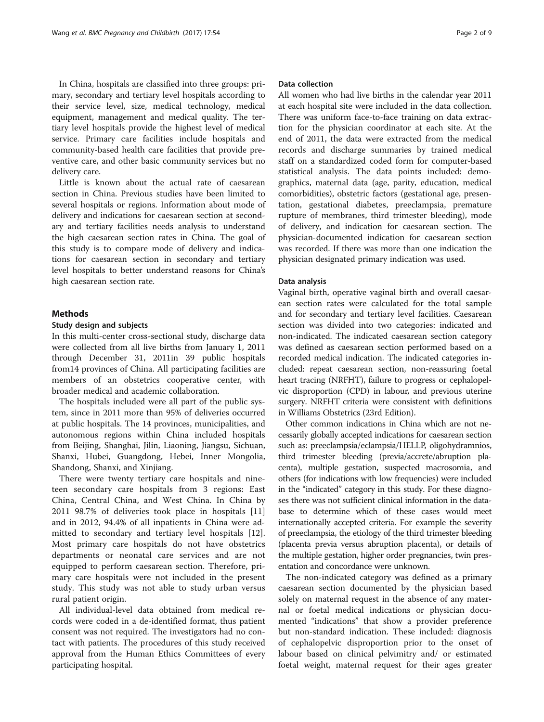In China, hospitals are classified into three groups: primary, secondary and tertiary level hospitals according to their service level, size, medical technology, medical equipment, management and medical quality. The tertiary level hospitals provide the highest level of medical service. Primary care facilities include hospitals and community-based health care facilities that provide preventive care, and other basic community services but no delivery care.

Little is known about the actual rate of caesarean section in China. Previous studies have been limited to several hospitals or regions. Information about mode of delivery and indications for caesarean section at secondary and tertiary facilities needs analysis to understand the high caesarean section rates in China. The goal of this study is to compare mode of delivery and indications for caesarean section in secondary and tertiary level hospitals to better understand reasons for China's high caesarean section rate.

## **Methods**

#### Study design and subjects

In this multi-center cross-sectional study, discharge data were collected from all live births from January 1, 2011 through December 31, 2011in 39 public hospitals from14 provinces of China. All participating facilities are members of an obstetrics cooperative center, with broader medical and academic collaboration.

The hospitals included were all part of the public system, since in 2011 more than 95% of deliveries occurred at public hospitals. The 14 provinces, municipalities, and autonomous regions within China included hospitals from Beijing, Shanghai, Jilin, Liaoning, Jiangsu, Sichuan, Shanxi, Hubei, Guangdong, Hebei, Inner Mongolia, Shandong, Shanxi, and Xinjiang.

There were twenty tertiary care hospitals and nineteen secondary care hospitals from 3 regions: East China, Central China, and West China. In China by 2011 98.7% of deliveries took place in hospitals [\[11](#page-8-0)] and in 2012, 94.4% of all inpatients in China were admitted to secondary and tertiary level hospitals [[12](#page-8-0)]. Most primary care hospitals do not have obstetrics departments or neonatal care services and are not equipped to perform caesarean section. Therefore, primary care hospitals were not included in the present study. This study was not able to study urban versus rural patient origin.

All individual-level data obtained from medical records were coded in a de-identified format, thus patient consent was not required. The investigators had no contact with patients. The procedures of this study received approval from the Human Ethics Committees of every participating hospital.

## Data collection

All women who had live births in the calendar year 2011 at each hospital site were included in the data collection. There was uniform face-to-face training on data extraction for the physician coordinator at each site. At the end of 2011, the data were extracted from the medical records and discharge summaries by trained medical staff on a standardized coded form for computer-based statistical analysis. The data points included: demographics, maternal data (age, parity, education, medical comorbidities), obstetric factors (gestational age, presentation, gestational diabetes, preeclampsia, premature rupture of membranes, third trimester bleeding), mode of delivery, and indication for caesarean section. The physician-documented indication for caesarean section was recorded. If there was more than one indication the physician designated primary indication was used.

#### Data analysis

Vaginal birth, operative vaginal birth and overall caesarean section rates were calculated for the total sample and for secondary and tertiary level facilities. Caesarean section was divided into two categories: indicated and non-indicated. The indicated caesarean section category was defined as caesarean section performed based on a recorded medical indication. The indicated categories included: repeat caesarean section, non-reassuring foetal heart tracing (NRFHT), failure to progress or cephalopelvic disproportion (CPD) in labour, and previous uterine surgery. NRFHT criteria were consistent with definitions in Williams Obstetrics (23rd Edition).

Other common indications in China which are not necessarily globally accepted indications for caesarean section such as: preeclampsia/eclampsia/HELLP, oligohydramnios, third trimester bleeding (previa/accrete/abruption placenta), multiple gestation, suspected macrosomia, and others (for indications with low frequencies) were included in the "indicated" category in this study. For these diagnoses there was not sufficient clinical information in the database to determine which of these cases would meet internationally accepted criteria. For example the severity of preeclampsia, the etiology of the third trimester bleeding (placenta previa versus abruption placenta), or details of the multiple gestation, higher order pregnancies, twin presentation and concordance were unknown.

The non-indicated category was defined as a primary caesarean section documented by the physician based solely on maternal request in the absence of any maternal or foetal medical indications or physician documented "indications" that show a provider preference but non-standard indication. These included: diagnosis of cephalopelvic disproportion prior to the onset of labour based on clinical pelvimitry and/ or estimated foetal weight, maternal request for their ages greater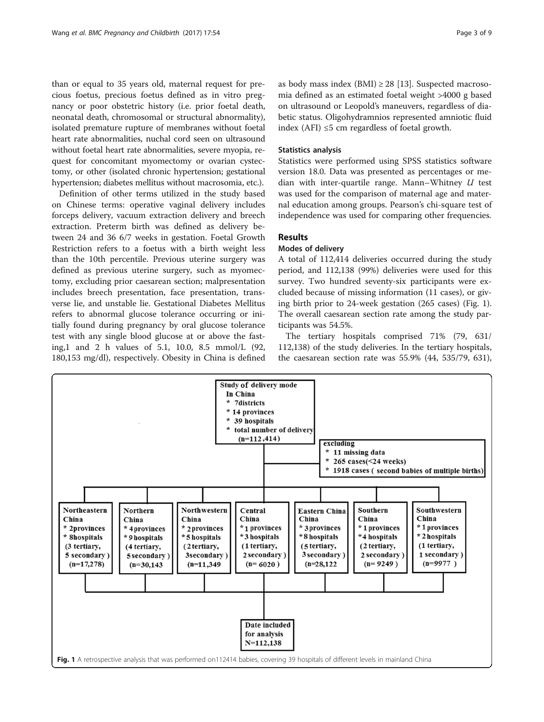than or equal to 35 years old, maternal request for precious foetus, precious foetus defined as in vitro pregnancy or poor obstetric history (i.e. prior foetal death, neonatal death, chromosomal or structural abnormality), isolated premature rupture of membranes without foetal heart rate abnormalities, nuchal cord seen on ultrasound without foetal heart rate abnormalities, severe myopia, request for concomitant myomectomy or ovarian cystectomy, or other (isolated chronic hypertension; gestational hypertension; diabetes mellitus without macrosomia, etc.).

Definition of other terms utilized in the study based on Chinese terms: operative vaginal delivery includes forceps delivery, vacuum extraction delivery and breech extraction. Preterm birth was defined as delivery between 24 and 36 6/7 weeks in gestation. Foetal Growth Restriction refers to a foetus with a birth weight less than the 10th percentile. Previous uterine surgery was defined as previous uterine surgery, such as myomectomy, excluding prior caesarean section; malpresentation includes breech presentation, face presentation, transverse lie, and unstable lie. Gestational Diabetes Mellitus refers to abnormal glucose tolerance occurring or initially found during pregnancy by oral glucose tolerance test with any single blood glucose at or above the fasting,1 and 2 h values of 5.1, 10.0, 8.5 mmol/L (92, 180,153 mg/dl), respectively. Obesity in China is defined as body mass index  $(BMI) \geq 28$  [[13\]](#page-8-0). Suspected macrosomia defined as an estimated foetal weight >4000 g based on ultrasound or Leopold's maneuvers, regardless of diabetic status. Oligohydramnios represented amniotic fluid index (AFI)  $\leq$ 5 cm regardless of foetal growth.

#### Statistics analysis

Statistics were performed using SPSS statistics software version 18.0. Data was presented as percentages or median with inter-quartile range. Mann–Whitney  $U$  test was used for the comparison of maternal age and maternal education among groups. Pearson's chi-square test of independence was used for comparing other frequencies.

## Results

## Modes of delivery

A total of 112,414 deliveries occurred during the study period, and 112,138 (99%) deliveries were used for this survey. Two hundred seventy-six participants were excluded because of missing information (11 cases), or giving birth prior to 24-week gestation (265 cases) (Fig. 1). The overall caesarean section rate among the study participants was 54.5%.

The tertiary hospitals comprised 71% (79, 631/ 112,138) of the study deliveries. In the tertiary hospitals, the caesarean section rate was 55.9% (44, 535/79, 631),

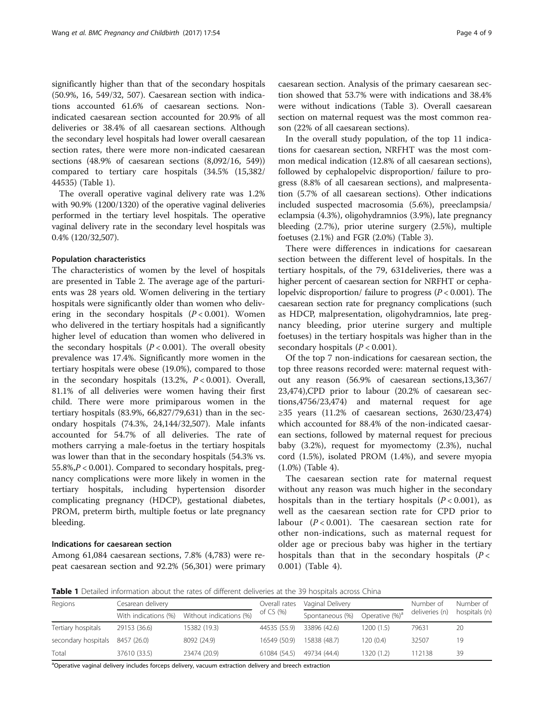significantly higher than that of the secondary hospitals (50.9%, 16, 549/32, 507). Caesarean section with indications accounted 61.6% of caesarean sections. Nonindicated caesarean section accounted for 20.9% of all deliveries or 38.4% of all caesarean sections. Although the secondary level hospitals had lower overall caesarean section rates, there were more non-indicated caesarean sections (48.9% of caesarean sections (8,092/16, 549)) compared to tertiary care hospitals (34.5% (15,382/ 44535) (Table 1).

The overall operative vaginal delivery rate was 1.2% with 90.9% (1200/1320) of the operative vaginal deliveries performed in the tertiary level hospitals. The operative vaginal delivery rate in the secondary level hospitals was 0.4% (120/32,507).

#### Population characteristics

The characteristics of women by the level of hospitals are presented in Table [2.](#page-4-0) The average age of the parturients was 28 years old. Women delivering in the tertiary hospitals were significantly older than women who delivering in the secondary hospitals  $(P < 0.001)$ . Women who delivered in the tertiary hospitals had a significantly higher level of education than women who delivered in the secondary hospitals  $(P < 0.001)$ . The overall obesity prevalence was 17.4%. Significantly more women in the tertiary hospitals were obese (19.0%), compared to those in the secondary hospitals  $(13.2\%, P < 0.001)$ . Overall, 81.1% of all deliveries were women having their first child. There were more primiparous women in the tertiary hospitals (83.9%, 66,827/79,631) than in the secondary hospitals (74.3%, 24,144/32,507). Male infants accounted for 54.7% of all deliveries. The rate of mothers carrying a male-foetus in the tertiary hospitals was lower than that in the secondary hospitals (54.3% vs. 55.8%,P < 0.001). Compared to secondary hospitals, pregnancy complications were more likely in women in the tertiary hospitals, including hypertension disorder complicating pregnancy (HDCP), gestational diabetes, PROM, preterm birth, multiple foetus or late pregnancy bleeding.

#### Indications for caesarean section

Among 61,084 caesarean sections, 7.8% (4,783) were repeat caesarean section and 92.2% (56,301) were primary caesarean section. Analysis of the primary caesarean section showed that 53.7% were with indications and 38.4% were without indications (Table [3\)](#page-5-0). Overall caesarean section on maternal request was the most common reason (22% of all caesarean sections).

In the overall study population, of the top 11 indications for caesarean section, NRFHT was the most common medical indication (12.8% of all caesarean sections), followed by cephalopelvic disproportion/ failure to progress (8.8% of all caesarean sections), and malpresentation (5.7% of all caesarean sections). Other indications included suspected macrosomia (5.6%), preeclampsia/ eclampsia (4.3%), oligohydramnios (3.9%), late pregnancy bleeding (2.7%), prior uterine surgery (2.5%), multiple foetuses (2.1%) and FGR (2.0%) (Table [3](#page-5-0)).

There were differences in indications for caesarean section between the different level of hospitals. In the tertiary hospitals, of the 79, 631deliveries, there was a higher percent of caesarean section for NRFHT or cephalopelvic disproportion/ failure to progress  $(P < 0.001)$ . The caesarean section rate for pregnancy complications (such as HDCP, malpresentation, oligohydramnios, late pregnancy bleeding, prior uterine surgery and multiple foetuses) in the tertiary hospitals was higher than in the secondary hospitals  $(P < 0.001)$ .

Of the top 7 non-indications for caesarean section, the top three reasons recorded were: maternal request without any reason (56.9% of caesarean sections,13,367/ 23,474),CPD prior to labour (20.2% of caesarean sections,4756/23,474) and maternal request for age ≥35 years (11.2% of caesarean sections, 2630/23,474) which accounted for 88.4% of the non-indicated caesarean sections, followed by maternal request for precious baby (3.2%), request for myomectomy (2.3%), nuchal cord (1.5%), isolated PROM (1.4%), and severe myopia (1.0%) (Table [4](#page-5-0)).

The caesarean section rate for maternal request without any reason was much higher in the secondary hospitals than in the tertiary hospitals  $(P < 0.001)$ , as well as the caesarean section rate for CPD prior to labour  $(P < 0.001)$ . The caesarean section rate for other non-indications, such as maternal request for older age or precious baby was higher in the tertiary hospitals than that in the secondary hospitals  $(P \lt \mathcal{P})$ 0.001) (Table [4](#page-5-0)).

Table 1 Detailed information about the rates of different deliveries at the 39 hospitals across China

| Regions             | Cesarean delivery    |                         | Overall rates | Vaginal Delivery |                            | Number of      | Number of     |
|---------------------|----------------------|-------------------------|---------------|------------------|----------------------------|----------------|---------------|
|                     | With indications (%) | Without indications (%) | of $CS(%$     | Spontaneous (%)  | Operative (%) <sup>a</sup> | deliveries (n) | hospitals (n) |
| Tertiary hospitals  | 29153 (36.6)         | 15382 (19.3)            | 44535 (55.9)  | 33896 (42.6)     | 1200(1.5)                  | 79631          | 20            |
| secondary hospitals | 8457 (26.0)          | 8092 (24.9)             | 16549 (50.9)  | 15838 (48.7)     | 120(0.4)                   | 32507          | 19            |
| Total               | 37610 (33.5)         | 23474 (20.9)            | 61084 (54.5)  | 49734 (44.4)     | 1320(1.2)                  | 112138         | 39            |

<sup>a</sup>Operative vaginal delivery includes forceps delivery, vacuum extraction delivery and breech extraction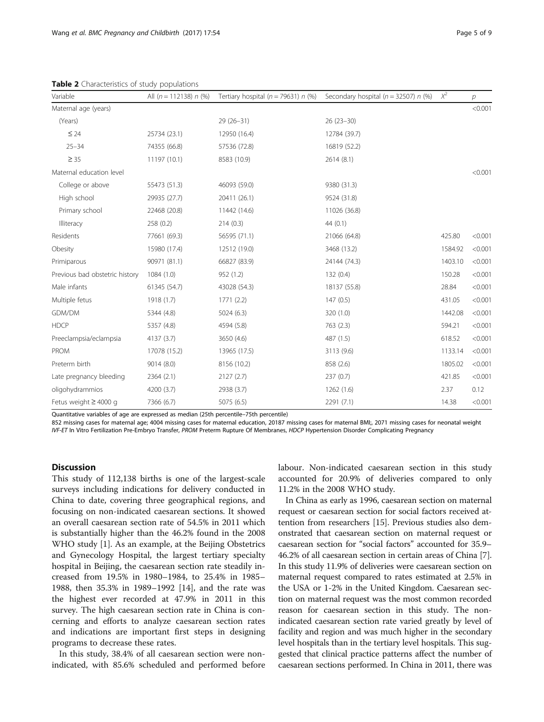| Variable                       | All $(n = 112138)$ n $(\%)$ | Tertiary hospital ( $n = 79631$ ) n (%) | Secondary hospital ( $n = 32507$ ) n (%) | $\chi^2$ | р       |
|--------------------------------|-----------------------------|-----------------------------------------|------------------------------------------|----------|---------|
| Maternal age (years)           |                             |                                         |                                          |          | < 0.001 |
| (Years)                        |                             | $29(26-31)$                             | $26(23-30)$                              |          |         |
| $\leq 24$                      | 25734 (23.1)                | 12950 (16.4)                            | 12784 (39.7)                             |          |         |
| $25 - 34$                      | 74355 (66.8)                | 57536 (72.8)                            | 16819 (52.2)                             |          |         |
| $\geq$ 35                      | 11197 (10.1)                | 8583 (10.9)                             | 2614(8.1)                                |          |         |
| Maternal education level       |                             |                                         |                                          |          | < 0.001 |
| College or above               | 55473 (51.3)                | 46093 (59.0)                            | 9380 (31.3)                              |          |         |
| High school                    | 29935 (27.7)                | 20411 (26.1)                            | 9524 (31.8)                              |          |         |
| Primary school                 | 22468 (20.8)                | 11442 (14.6)                            | 11026 (36.8)                             |          |         |
| Illiteracy                     | 258(0.2)                    | 214(0.3)                                | 44(0.1)                                  |          |         |
| Residents                      | 77661 (69.3)                | 56595 (71.1)                            | 21066 (64.8)                             | 425.80   | < 0.001 |
| Obesity                        | 15980 (17.4)                | 12512 (19.0)                            | 3468 (13.2)                              | 1584.92  | < 0.001 |
| Primiparous                    | 90971 (81.1)                | 66827 (83.9)                            | 24144 (74.3)                             | 1403.10  | < 0.001 |
| Previous bad obstetric history | 1084(1.0)                   | 952 (1.2)                               | 132(0.4)                                 | 150.28   | < 0.001 |
| Male infants                   | 61345 (54.7)                | 43028 (54.3)                            | 18137 (55.8)                             | 28.84    | < 0.001 |
| Multiple fetus                 | 1918 (1.7)                  | 1771(2.2)                               | 147(0.5)                                 | 431.05   | < 0.001 |
| GDM/DM                         | 5344 (4.8)                  | 5024(6.3)                               | 320 (1.0)                                | 1442.08  | < 0.001 |
| <b>HDCP</b>                    | 5357 (4.8)                  | 4594 (5.8)                              | 763 (2.3)                                | 594.21   | < 0.001 |
| Preeclampsia/eclampsia         | 4137 (3.7)                  | 3650 (4.6)                              | 487 (1.5)                                | 618.52   | < 0.001 |
| <b>PROM</b>                    | 17078 (15.2)                | 13965 (17.5)                            | 3113 (9.6)                               | 1133.14  | < 0.001 |
| Preterm birth                  | 9014 (8.0)                  | 8156 (10.2)                             | 858 (2.6)                                | 1805.02  | < 0.001 |
| Late pregnancy bleeding        | 2364 (2.1)                  | 2127 (2.7)                              | 237(0.7)                                 | 421.85   | < 0.001 |
| oligohydrammios                | 4200 (3.7)                  | 2938 (3.7)                              | 1262(1.6)                                | 2.37     | 0.12    |
| Fetus weight $\geq 4000$ g     | 7366 (6.7)                  | 5075 (6.5)                              | 2291(7.1)                                | 14.38    | < 0.001 |

<span id="page-4-0"></span>Table 2 Characteristics of study populations

Quantitative variables of age are expressed as median (25th percentile–75th percentile)

852 missing cases for maternal age; 4004 missing cases for maternal education, 20187 missing cases for maternal BMI;, 2071 missing cases for neonatal weight IVF-ET In Vitro Fertilization Pre-Embryo Transfer, PROM Preterm Rupture Of Membranes, HDCP Hypertension Disorder Complicating Pregnancy

## **Discussion**

This study of 112,138 births is one of the largest-scale surveys including indications for delivery conducted in China to date, covering three geographical regions, and focusing on non-indicated caesarean sections. It showed an overall caesarean section rate of 54.5% in 2011 which is substantially higher than the 46.2% found in the 2008 WHO study [[1\]](#page-8-0). As an example, at the Beijing Obstetrics and Gynecology Hospital, the largest tertiary specialty hospital in Beijing, the caesarean section rate steadily increased from 19.5% in 1980–1984, to 25.4% in 1985– 1988, then 35.3% in 1989–1992 [[14\]](#page-8-0), and the rate was the highest ever recorded at 47.9% in 2011 in this survey. The high caesarean section rate in China is concerning and efforts to analyze caesarean section rates and indications are important first steps in designing programs to decrease these rates.

In this study, 38.4% of all caesarean section were nonindicated, with 85.6% scheduled and performed before labour. Non-indicated caesarean section in this study accounted for 20.9% of deliveries compared to only 11.2% in the 2008 WHO study.

In China as early as 1996, caesarean section on maternal request or caesarean section for social factors received attention from researchers [\[15](#page-8-0)]. Previous studies also demonstrated that caesarean section on maternal request or caesarean section for "social factors" accounted for 35.9– 46.2% of all caesarean section in certain areas of China [[7](#page-8-0)]. In this study 11.9% of deliveries were caesarean section on maternal request compared to rates estimated at 2.5% in the USA or 1-2% in the United Kingdom. Caesarean section on maternal request was the most common recorded reason for caesarean section in this study. The nonindicated caesarean section rate varied greatly by level of facility and region and was much higher in the secondary level hospitals than in the tertiary level hospitals. This suggested that clinical practice patterns affect the number of caesarean sections performed. In China in 2011, there was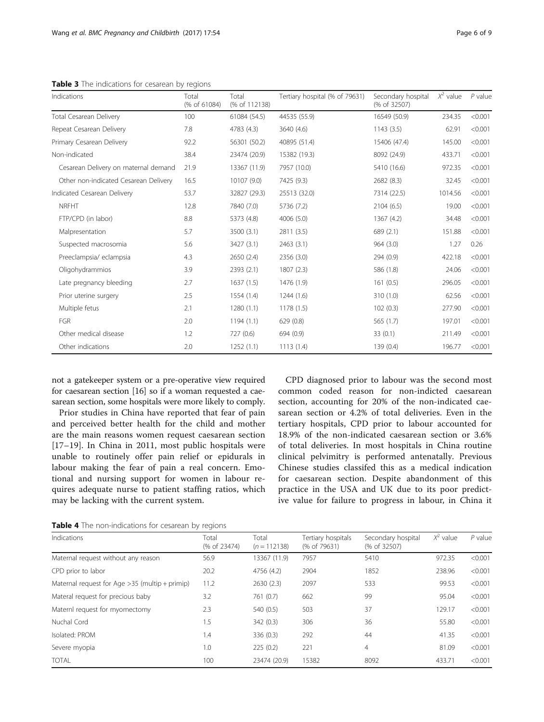<span id="page-5-0"></span>Table 3 The indications for cesarean by regions

| Indications                           | Total<br>(% of 61084) | Total<br>(% of 112138) | Tertiary hospital (% of 79631) | Secondary hospital<br>(% of 32507) | $X^2$ value | $P$ value |
|---------------------------------------|-----------------------|------------------------|--------------------------------|------------------------------------|-------------|-----------|
| Total Cesarean Delivery               | 100                   | 61084 (54.5)           | 44535 (55.9)                   | 16549 (50.9)                       | 234.35      | < 0.001   |
| Repeat Cesarean Delivery              | 7.8                   | 4783 (4.3)             | 3640 (4.6)                     | 1143(3.5)                          | 62.91       | < 0.001   |
| Primary Cesarean Delivery             | 92.2                  | 56301 (50.2)           | 40895 (51.4)                   | 15406 (47.4)                       | 145.00      | < 0.001   |
| Non-indicated                         | 38.4                  | 23474 (20.9)           | 15382 (19.3)                   | 8092 (24.9)                        | 433.71      | < 0.001   |
| Cesarean Delivery on maternal demand  | 21.9                  | 13367 (11.9)           | 7957 (10.0)                    | 5410 (16.6)                        | 972.35      | < 0.001   |
| Other non-indicated Cesarean Delivery | 16.5                  | 10107 (9.0)            | 7425 (9.3)                     | 2682 (8.3)                         | 32.45       | < 0.001   |
| Indicated Cesarean Delivery           | 53.7                  | 32827 (29.3)           | 25513 (32.0)                   | 7314 (22.5)                        | 1014.56     | < 0.001   |
| <b>NRFHT</b>                          | 12.8                  | 7840 (7.0)             | 5736 (7.2)                     | 2104(6.5)                          | 19.00       | < 0.001   |
| FTP/CPD (in labor)                    | 8.8                   | 5373 (4.8)             | 4006 (5.0)                     | 1367 (4.2)                         | 34.48       | < 0.001   |
| Malpresentation                       | 5.7                   | 3500 (3.1)             | 2811 (3.5)                     | 689 (2.1)                          | 151.88      | < 0.001   |
| Suspected macrosomia                  | 5.6                   | 3427 (3.1)             | 2463(3.1)                      | 964 (3.0)                          | 1.27        | 0.26      |
| Preeclampsia/eclampsia                | 4.3                   | 2650 (2.4)             | 2356 (3.0)                     | 294 (0.9)                          | 422.18      | < 0.001   |
| Oligohydrammios                       | 3.9                   | 2393(2.1)              | 1807(2.3)                      | 586 (1.8)                          | 24.06       | < 0.001   |
| Late pregnancy bleeding               | 2.7                   | 1637(1.5)              | 1476 (1.9)                     | 161(0.5)                           | 296.05      | < 0.001   |
| Prior uterine surgery                 | 2.5                   | 1554 (1.4)             | 1244(1.6)                      | 310 (1.0)                          | 62.56       | < 0.001   |
| Multiple fetus                        | 2.1                   | 1280(1.1)              | 1178(1.5)                      | 102(0.3)                           | 277.90      | < 0.001   |
| FGR                                   | 2.0                   | 1194(1.1)              | 629(0.8)                       | 565 (1.7)                          | 197.01      | < 0.001   |
| Other medical disease                 | 1.2                   | 727 (0.6)              | 694 (0.9)                      | 33(0.1)                            | 211.49      | < 0.001   |
| Other indications                     | 2.0                   | 1252(1.1)              | 1113(1.4)                      | 139 (0.4)                          | 196.77      | < 0.001   |

not a gatekeeper system or a pre-operative view required for caesarean section [[16](#page-8-0)] so if a woman requested a caesarean section, some hospitals were more likely to comply.

Prior studies in China have reported that fear of pain and perceived better health for the child and mother are the main reasons women request caesarean section [[17](#page-8-0)–[19\]](#page-8-0). In China in 2011, most public hospitals were unable to routinely offer pain relief or epidurals in labour making the fear of pain a real concern. Emotional and nursing support for women in labour requires adequate nurse to patient staffing ratios, which may be lacking with the current system.

CPD diagnosed prior to labour was the second most common coded reason for non-indicted caesarean section, accounting for 20% of the non-indicated caesarean section or 4.2% of total deliveries. Even in the tertiary hospitals, CPD prior to labour accounted for 18.9% of the non-indicated caesarean section or 3.6% of total deliveries. In most hospitals in China routine clinical pelvimitry is performed antenatally. Previous Chinese studies classifed this as a medical indication for caesarean section. Despite abandonment of this practice in the USA and UK due to its poor predictive value for failure to progress in labour, in China it

|  | Table 4 The non-indications for cesarean by regions |  |
|--|-----------------------------------------------------|--|
|--|-----------------------------------------------------|--|

| Indications                                      | Total<br>(% of 23474) | Total<br>$(n = 112138)$ | Tertiary hospitals<br>(% of 79631) | Secondary hospital<br>(% of 32507) | $X^2$ value | $P$ value |
|--------------------------------------------------|-----------------------|-------------------------|------------------------------------|------------------------------------|-------------|-----------|
| Maternal request without any reason              | 56.9                  | 13367 (11.9)            | 7957                               | 5410                               | 972.35      | < 0.001   |
| CPD prior to labor                               | 20.2                  | 4756 (4.2)              | 2904                               | 1852                               | 238.96      | < 0.001   |
| Maternal request for Age $>35$ (multip + primip) | 11.2                  | 2630(2.3)               | 2097                               | 533                                | 99.53       | < 0.001   |
| Materal request for precious baby                | 3.2                   | 761 (0.7)               | 662                                | 99                                 | 95.04       | < 0.001   |
| Maternl request for myomectomy                   | 2.3                   | 540 (0.5)               | 503                                | 37                                 | 129.17      | < 0.001   |
| Nuchal Cord                                      | 1.5                   | 342(0.3)                | 306                                | 36                                 | 55.80       | < 0.001   |
| Isolated: PROM                                   | 1.4                   | 336 (0.3)               | 292                                | 44                                 | 41.35       | < 0.001   |
| Severe myopia                                    | 1.0                   | 225(0.2)                | 221                                | $\overline{4}$                     | 81.09       | < 0.001   |
| <b>TOTAL</b>                                     | 100                   | 23474 (20.9)            | 15382                              | 8092                               | 433.71      | < 0.001   |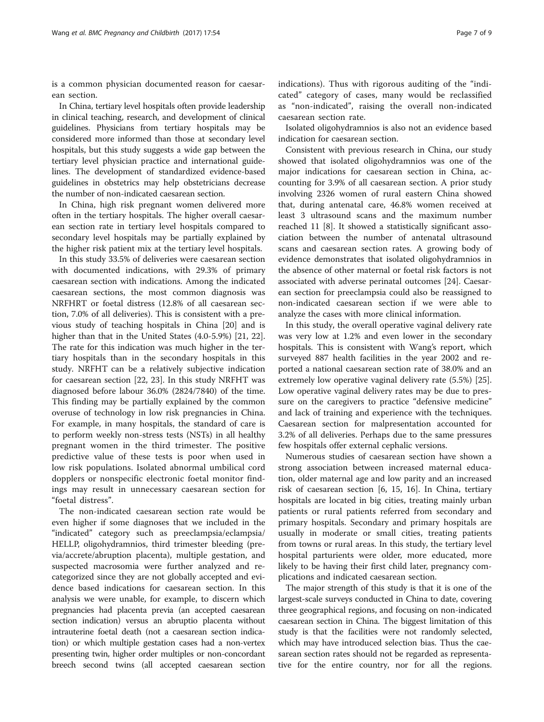is a common physician documented reason for caesarean section.

In China, tertiary level hospitals often provide leadership in clinical teaching, research, and development of clinical guidelines. Physicians from tertiary hospitals may be considered more informed than those at secondary level hospitals, but this study suggests a wide gap between the tertiary level physician practice and international guidelines. The development of standardized evidence-based guidelines in obstetrics may help obstetricians decrease the number of non-indicated caesarean section.

In China, high risk pregnant women delivered more often in the tertiary hospitals. The higher overall caesarean section rate in tertiary level hospitals compared to secondary level hospitals may be partially explained by the higher risk patient mix at the tertiary level hospitals.

In this study 33.5% of deliveries were caesarean section with documented indications, with 29.3% of primary caesarean section with indications. Among the indicated caesarean sections, the most common diagnosis was NRFHRT or foetal distress (12.8% of all caesarean section, 7.0% of all deliveries). This is consistent with a previous study of teaching hospitals in China [[20\]](#page-8-0) and is higher than that in the United States (4.0-5.9%) [\[21, 22](#page-8-0)]. The rate for this indication was much higher in the tertiary hospitals than in the secondary hospitals in this study. NRFHT can be a relatively subjective indication for caesarean section [[22, 23](#page-8-0)]. In this study NRFHT was diagnosed before labour 36.0% (2824/7840) of the time. This finding may be partially explained by the common overuse of technology in low risk pregnancies in China. For example, in many hospitals, the standard of care is to perform weekly non-stress tests (NSTs) in all healthy pregnant women in the third trimester. The positive predictive value of these tests is poor when used in low risk populations. Isolated abnormal umbilical cord dopplers or nonspecific electronic foetal monitor findings may result in unnecessary caesarean section for "foetal distress".

The non-indicated caesarean section rate would be even higher if some diagnoses that we included in the "indicated" category such as preeclampsia/eclampsia/ HELLP, oligohydramnios, third trimester bleeding (previa/accrete/abruption placenta), multiple gestation, and suspected macrosomia were further analyzed and recategorized since they are not globally accepted and evidence based indications for caesarean section. In this analysis we were unable, for example, to discern which pregnancies had placenta previa (an accepted caesarean section indication) versus an abruptio placenta without intrauterine foetal death (not a caesarean section indication) or which multiple gestation cases had a non-vertex presenting twin, higher order multiples or non-concordant breech second twins (all accepted caesarean section indications). Thus with rigorous auditing of the "indicated" category of cases, many would be reclassified as "non-indicated", raising the overall non-indicated caesarean section rate.

Isolated oligohydramnios is also not an evidence based indication for caesarean section.

Consistent with previous research in China, our study showed that isolated oligohydramnios was one of the major indications for caesarean section in China, accounting for 3.9% of all caesarean section. A prior study involving 2326 women of rural eastern China showed that, during antenatal care, 46.8% women received at least 3 ultrasound scans and the maximum number reached 11 [[8\]](#page-8-0). It showed a statistically significant association between the number of antenatal ultrasound scans and caesarean section rates. A growing body of evidence demonstrates that isolated oligohydramnios in the absence of other maternal or foetal risk factors is not associated with adverse perinatal outcomes [\[24](#page-8-0)]. Caesarean section for preeclampsia could also be reassigned to non-indicated caesarean section if we were able to analyze the cases with more clinical information.

In this study, the overall operative vaginal delivery rate was very low at 1.2% and even lower in the secondary hospitals. This is consistent with Wang's report, which surveyed 887 health facilities in the year 2002 and reported a national caesarean section rate of 38.0% and an extremely low operative vaginal delivery rate (5.5%) [\[25](#page-8-0)]. Low operative vaginal delivery rates may be due to pressure on the caregivers to practice "defensive medicine" and lack of training and experience with the techniques. Caesarean section for malpresentation accounted for 3.2% of all deliveries. Perhaps due to the same pressures few hospitals offer external cephalic versions.

Numerous studies of caesarean section have shown a strong association between increased maternal education, older maternal age and low parity and an increased risk of caesarean section [\[6, 15](#page-8-0), [16\]](#page-8-0). In China, tertiary hospitals are located in big cities, treating mainly urban patients or rural patients referred from secondary and primary hospitals. Secondary and primary hospitals are usually in moderate or small cities, treating patients from towns or rural areas. In this study, the tertiary level hospital parturients were older, more educated, more likely to be having their first child later, pregnancy complications and indicated caesarean section.

The major strength of this study is that it is one of the largest-scale surveys conducted in China to date, covering three geographical regions, and focusing on non-indicated caesarean section in China. The biggest limitation of this study is that the facilities were not randomly selected, which may have introduced selection bias. Thus the caesarean section rates should not be regarded as representative for the entire country, nor for all the regions.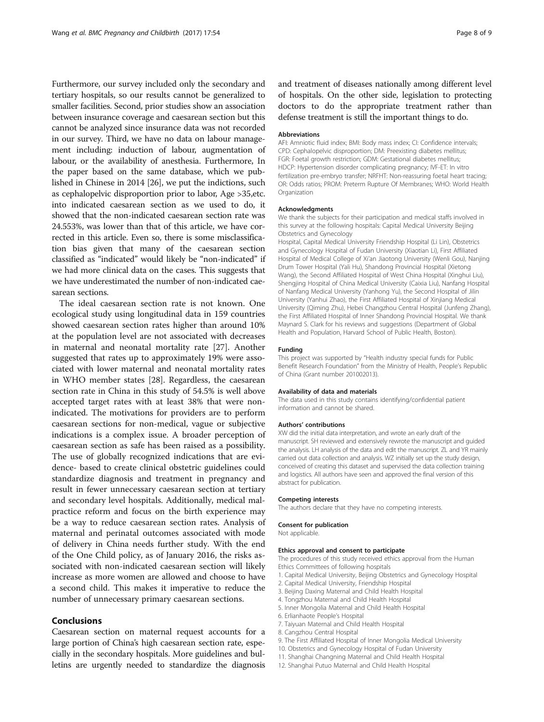Furthermore, our survey included only the secondary and tertiary hospitals, so our results cannot be generalized to smaller facilities. Second, prior studies show an association between insurance coverage and caesarean section but this cannot be analyzed since insurance data was not recorded in our survey. Third, we have no data on labour management including: induction of labour, augmentation of labour, or the availability of anesthesia. Furthermore, In the paper based on the same database, which we published in Chinese in 2014 [\[26\]](#page-8-0), we put the indictions, such as cephalopelvic disproportion prior to labor, Age >35,etc. into indicated caesarean section as we used to do, it showed that the non-indicated caesarean section rate was 24.553%, was lower than that of this article, we have corrected in this article. Even so, there is some misclassification bias given that many of the caesarean section classified as "indicated" would likely be "non-indicated" if we had more clinical data on the cases. This suggests that we have underestimated the number of non-indicated caesarean sections.

The ideal caesarean section rate is not known. One ecological study using longitudinal data in 159 countries showed caesarean section rates higher than around 10% at the population level are not associated with decreases in maternal and neonatal mortality rate [\[27](#page-8-0)]. Another suggested that rates up to approximately 19% were associated with lower maternal and neonatal mortality rates in WHO member states [[28\]](#page-8-0). Regardless, the caesarean section rate in China in this study of 54.5% is well above accepted target rates with at least 38% that were nonindicated. The motivations for providers are to perform caesarean sections for non-medical, vague or subjective indications is a complex issue. A broader perception of caesarean section as safe has been raised as a possibility. The use of globally recognized indications that are evidence- based to create clinical obstetric guidelines could standardize diagnosis and treatment in pregnancy and result in fewer unnecessary caesarean section at tertiary and secondary level hospitals. Additionally, medical malpractice reform and focus on the birth experience may be a way to reduce caesarean section rates. Analysis of maternal and perinatal outcomes associated with mode of delivery in China needs further study. With the end of the One Child policy, as of January 2016, the risks associated with non-indicated caesarean section will likely increase as more women are allowed and choose to have a second child. This makes it imperative to reduce the number of unnecessary primary caesarean sections.

## Conclusions

Caesarean section on maternal request accounts for a large portion of China's high caesarean section rate, especially in the secondary hospitals. More guidelines and bulletins are urgently needed to standardize the diagnosis and treatment of diseases nationally among different level of hospitals. On the other side, legislation to protecting doctors to do the appropriate treatment rather than defense treatment is still the important things to do.

#### Abbreviations

AFI: Amniotic fluid index; BMI: Body mass index; CI: Confidence intervals; CPD: Cephalopelvic disproportion; DM: Preexisting diabetes mellitus; FGR: Foetal growth restriction; GDM: Gestational diabetes mellitus; HDCP: Hypertension disorder complicating pregnancy; IVF-ET: In vitro fertilization pre-embryo transfer; NRFHT: Non-reassuring foetal heart tracing; OR: Odds ratios; PROM: Preterm Rupture Of Membranes; WHO: World Health **Organization** 

#### Acknowledgments

We thank the subjects for their participation and medical staffs involved in this survey at the following hospitals: Capital Medical University Beijing Obstetrics and Gynecology

Hospital, Capital Medical University Friendship Hospital (Li Lin), Obstetrics and Gynecology Hospital of Fudan University (Xiaotian Li), First Affiliated Hospital of Medical College of Xi'an Jiaotong University (Wenli Gou), Nanjing Drum Tower Hospital (Yali Hu), Shandong Provincial Hospital (Xietong Wang), the Second Affiliated Hospital of West China Hospital (Xinghui Liu), Shengjing Hospital of China Medical University (Caixia Liu), Nanfang Hospital of Nanfang Medical University (Yanhong Yu), the Second Hospital of Jilin University (Yanhui Zhao), the First Affiliated Hospital of Xinjiang Medical University (Qiming Zhu), Hebei Changzhou Central Hospital (Junfeng Zhang), the First Affiliated Hospital of Inner Shandong Provincial Hospital. We thank Maynard S. Clark for his reviews and suggestions (Department of Global Health and Population, Harvard School of Public Health, Boston).

#### Funding

This project was supported by "Health industry special funds for Public Benefit Research Foundation" from the Ministry of Health, People's Republic of China (Grant number 201002013).

#### Availability of data and materials

The data used in this study contains identifying/confidential patient information and cannot be shared.

#### Authors' contributions

XW did the initial data interpretation, and wrote an early draft of the manuscript. SH reviewed and extensively rewrote the manuscript and guided the analysis. LH analysis of the data and edit the manuscript. ZL and YR mainly carried out data collection and analysis. WZ initially set up the study design, conceived of creating this dataset and supervised the data collection training and logistics. All authors have seen and approved the final version of this abstract for publication.

#### Competing interests

The authors declare that they have no competing interests.

#### Consent for publication

Not applicable.

#### Ethics approval and consent to participate

The procedures of this study received ethics approval from the Human Ethics Committees of following hospitals

- 1. Capital Medical University, Beijing Obstetrics and Gynecology Hospital
- 2. Capital Medical University, Friendship Hospital
- 3. Beijing Daxing Maternal and Child Health Hospital
- 4. Tongzhou Maternal and Child Health Hospital
- 5. Inner Mongolia Maternal and Child Health Hospital
- 6. Erlianhaote People's Hospital
- 7. Taiyuan Maternal and Child Health Hospital
- 8. Cangzhou Central Hospital
- 9. The First Affiliated Hospital of Inner Mongolia Medical University
- 10. Obstetrics and Gynecology Hospital of Fudan University
- 11. Shanghai Changning Maternal and Child Health Hospital
- 12. Shanghai Putuo Maternal and Child Health Hospital